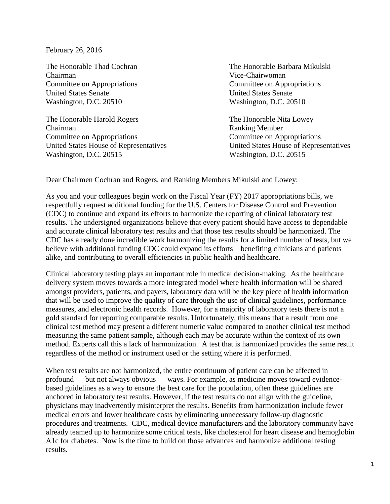February 26, 2016

Chairman Vice-Chairwoman Committee on Appropriations Committee on Appropriations United States Senate United States Senate Washington, D.C. 20510 Washington, D.C. 20510

The Honorable Harold Rogers The Honorable Nita Lowey Chairman Ranking Member Committee on Appropriations Committee on Appropriations Washington, D.C. 20515 Washington, D.C. 20515

The Honorable Thad Cochran The Honorable Barbara Mikulski

United States House of Representatives United States House of Representatives

Dear Chairmen Cochran and Rogers, and Ranking Members Mikulski and Lowey:

As you and your colleagues begin work on the Fiscal Year (FY) 2017 appropriations bills, we respectfully request additional funding for the U.S. Centers for Disease Control and Prevention (CDC) to continue and expand its efforts to harmonize the reporting of clinical laboratory test results. The undersigned organizations believe that every patient should have access to dependable and accurate clinical laboratory test results and that those test results should be harmonized. The CDC has already done incredible work harmonizing the results for a limited number of tests, but we believe with additional funding CDC could expand its efforts—benefiting clinicians and patients alike, and contributing to overall efficiencies in public health and healthcare.

Clinical laboratory testing plays an important role in medical decision-making. As the healthcare delivery system moves towards a more integrated model where health information will be shared amongst providers, patients, and payers, laboratory data will be the key piece of health information that will be used to improve the quality of care through the use of clinical guidelines, performance measures, and electronic health records. However, for a majority of laboratory tests there is not a gold standard for reporting comparable results. Unfortunately, this means that a result from one clinical test method may present a different numeric value compared to another clinical test method measuring the same patient sample, although each may be accurate within the context of its own method. Experts call this a lack of harmonization. A test that is harmonized provides the same result regardless of the method or instrument used or the setting where it is performed.

When test results are not harmonized, the entire continuum of patient care can be affected in profound — but not always obvious — ways. For example, as medicine moves toward evidencebased guidelines as a way to ensure the best care for the population, often these guidelines are anchored in laboratory test results. However, if the test results do not align with the guideline, physicians may inadvertently misinterpret the results. Benefits from harmonization include fewer medical errors and lower healthcare costs by eliminating unnecessary follow-up diagnostic procedures and treatments. CDC, medical device manufacturers and the laboratory community have already teamed up to harmonize some critical tests, like cholesterol for heart disease and hemoglobin A1c for diabetes. Now is the time to build on those advances and harmonize additional testing results.